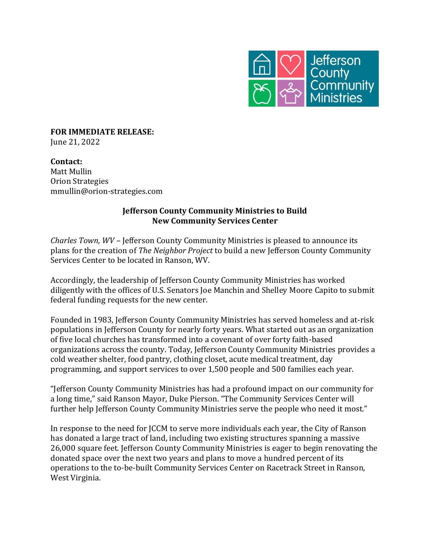

**FOR IMMEDIATE RELEASE:** June 21, 2022

**Contact:** Matt Mullin Orion Strategies mmullin@orion-strategies.com

## **Jefferson County Community Ministries to Build New Community Services Center**

*Charles Town, WV* – Jefferson County Community Ministries is pleased to announce its plans for the creation of *The Neighbor Project* to build a new Jefferson County Community Services Center to be located in Ranson, WV.

Accordingly, the leadership of Jefferson County Community Ministries has worked diligently with the offices of U.S. Senators Joe Manchin and Shelley Moore Capito to submit federal funding requests for the new center.

Founded in 1983, Jefferson County Community Ministries has served homeless and at-risk populations in Jefferson County for nearly forty years. What started out as an organization of five local churches has transformed into a covenant of over forty faith-based organizations across the county. Today, Jefferson County Community Ministries provides a cold weather shelter, food pantry, clothing closet, acute medical treatment, day programming, and support services to over 1,500 people and 500 families each year.

"Jefferson County Community Ministries has had a profound impact on our community for a long time," said Ranson Mayor, Duke Pierson. "The Community Services Center will further help Jefferson County Community Ministries serve the people who need it most."

In response to the need for JCCM to serve more individuals each year, the City of Ranson has donated a large tract of land, including two existing structures spanning a massive 26,000 square feet. Jefferson County Community Ministries is eager to begin renovating the donated space over the next two years and plans to move a hundred percent of its operations to the to-be-built Community Services Center on Racetrack Street in Ranson, West Virginia.